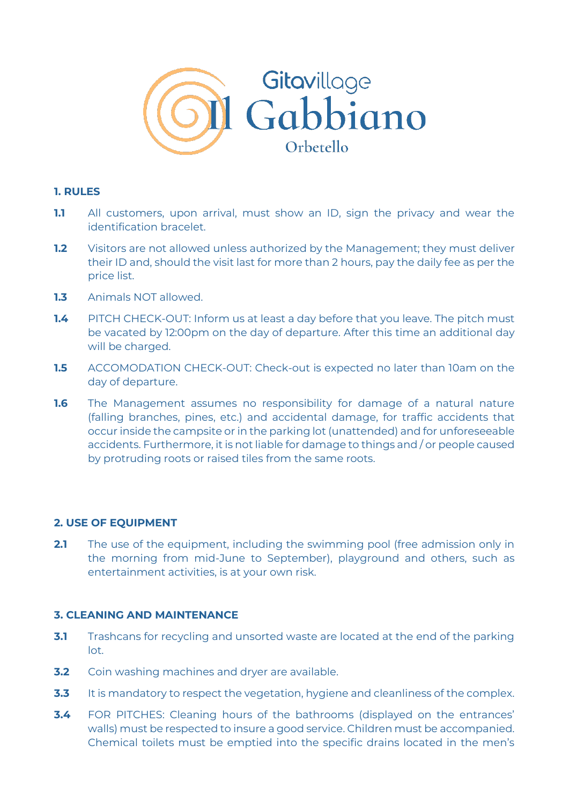

## **1. RULES**

- **1.1** All customers, upon arrival, must show an ID, sign the privacy and wear the identification bracelet.
- **1.2** Visitors are not allowed unless authorized by the Management; they must deliver their ID and, should the visit last for more than 2 hours, pay the daily fee as per the price list.
- **1.3** Animals NOT allowed.
- **1.4** PITCH CHECK-OUT: Inform us at least a day before that you leave. The pitch must be vacated by 12:00pm on the day of departure. After this time an additional day will be charged.
- **1.5** ACCOMODATION CHECK-OUT: Check-out is expected no later than 10am on the day of departure.
- **1.6** The Management assumes no responsibility for damage of a natural nature (falling branches, pines, etc.) and accidental damage, for traffic accidents that occur inside the campsite or in the parking lot (unattended) and for unforeseeable accidents. Furthermore, it is not liable for damage to things and / or people caused by protruding roots or raised tiles from the same roots.

### **2. USE OF EQUIPMENT**

**2.1** The use of the equipment, including the swimming pool (free admission only in the morning from mid-June to September), playground and others, such as entertainment activities, is at your own risk.

### **3. CLEANING AND MAINTENANCE**

- **3.1** Trashcans for recycling and unsorted waste are located at the end of the parking lot.
- **3.2** Coin washing machines and dryer are available.
- **3.3** It is mandatory to respect the vegetation, hygiene and cleanliness of the complex.
- **3.4** FOR PITCHES: Cleaning hours of the bathrooms (displayed on the entrances' walls) must be respected to insure a good service. Children must be accompanied. Chemical toilets must be emptied into the specific drains located in the men's